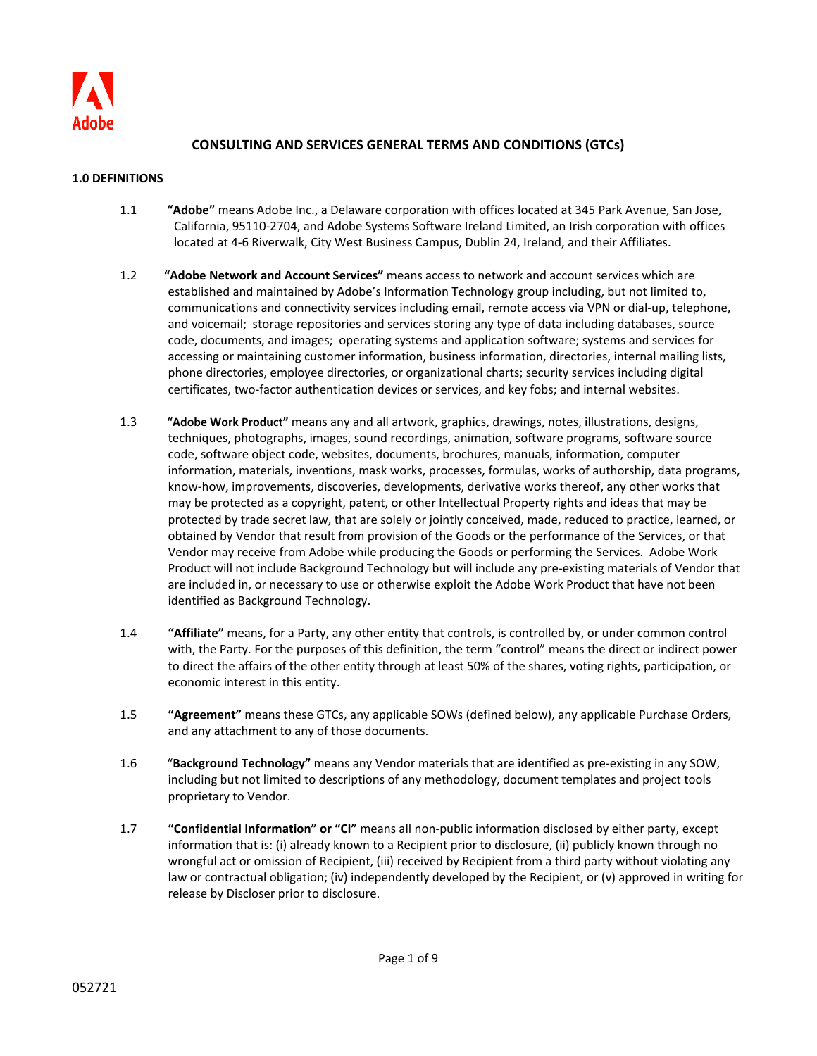

# **CONSULTING AND SERVICES GENERAL TERMS AND CONDITIONS (GTCs)**

### **1.0 DEFINITIONS**

- 1.1 **"Adobe"** means Adobe Inc., a Delaware corporation with offices located at 345 Park Avenue, San Jose, California, 95110-2704, and Adobe Systems Software Ireland Limited, an Irish corporation with offices located at 4-6 Riverwalk, City West Business Campus, Dublin 24, Ireland, and their Affiliates.
- 1.2 **"Adobe Network and Account Services"** means access to network and account services which are established and maintained by Adobe's Information Technology group including, but not limited to, communications and connectivity services including email, remote access via VPN or dial-up, telephone, and voicemail; storage repositories and services storing any type of data including databases, source code, documents, and images; operating systems and application software; systems and services for accessing or maintaining customer information, business information, directories, internal mailing lists, phone directories, employee directories, or organizational charts; security services including digital certificates, two-factor authentication devices or services, and key fobs; and internal websites.
- 1.3 **"Adobe Work Product"** means any and all artwork, graphics, drawings, notes, illustrations, designs, techniques, photographs, images, sound recordings, animation, software programs, software source code, software object code, websites, documents, brochures, manuals, information, computer information, materials, inventions, mask works, processes, formulas, works of authorship, data programs, know-how, improvements, discoveries, developments, derivative works thereof, any other works that may be protected as a copyright, patent, or other Intellectual Property rights and ideas that may be protected by trade secret law, that are solely or jointly conceived, made, reduced to practice, learned, or obtained by Vendor that result from provision of the Goods or the performance of the Services, or that Vendor may receive from Adobe while producing the Goods or performing the Services. Adobe Work Product will not include Background Technology but will include any pre-existing materials of Vendor that are included in, or necessary to use or otherwise exploit the Adobe Work Product that have not been identified as Background Technology.
- 1.4 **"Affiliate"** means, for a Party, any other entity that controls, is controlled by, or under common control with, the Party. For the purposes of this definition, the term "control" means the direct or indirect power to direct the affairs of the other entity through at least 50% of the shares, voting rights, participation, or economic interest in this entity.
- 1.5 **"Agreement"** means these GTCs, any applicable SOWs (defined below), any applicable Purchase Orders, and any attachment to any of those documents.
- 1.6 "**Background Technology"** means any Vendor materials that are identified as pre-existing in any SOW, including but not limited to descriptions of any methodology, document templates and project tools proprietary to Vendor.
- 1.7 **"Confidential Information" or "CI"** means all non-public information disclosed by either party, except information that is: (i) already known to a Recipient prior to disclosure, (ii) publicly known through no wrongful act or omission of Recipient, (iii) received by Recipient from a third party without violating any law or contractual obligation; (iv) independently developed by the Recipient, or (v) approved in writing for release by Discloser prior to disclosure.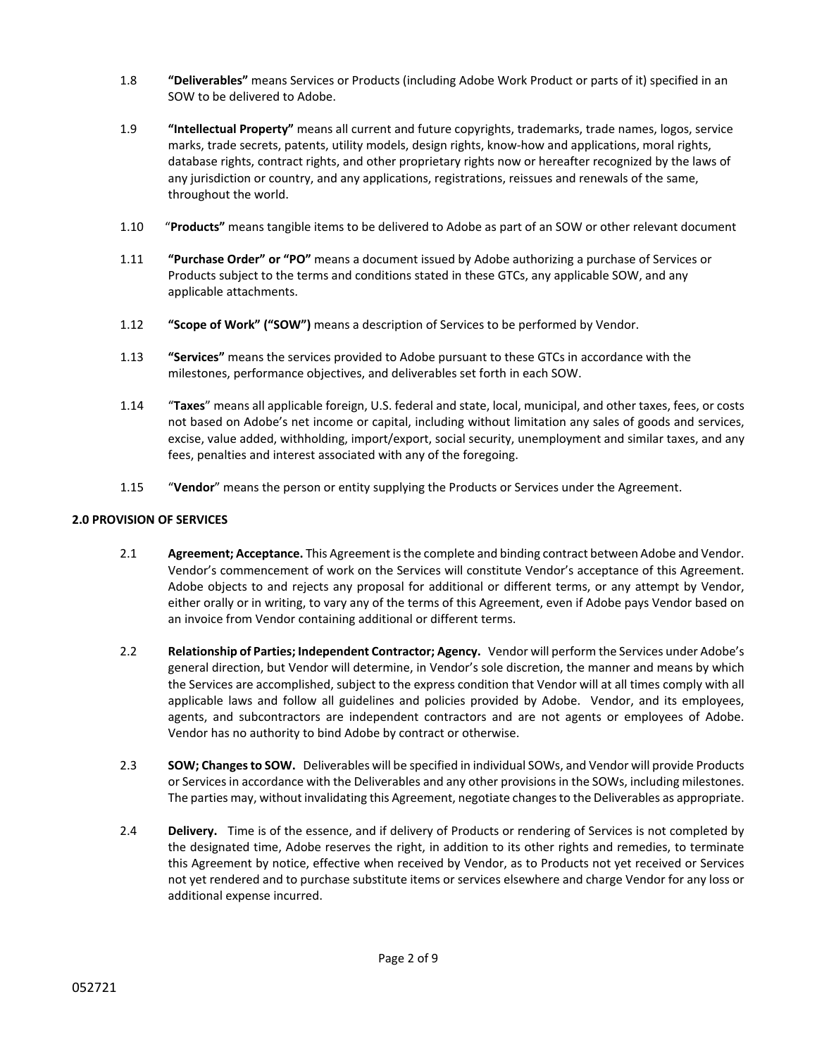- 1.8 **"Deliverables"** means Services or Products (including Adobe Work Product or parts of it) specified in an SOW to be delivered to Adobe.
- 1.9 **"Intellectual Property"** means all current and future copyrights, trademarks, trade names, logos, service marks, trade secrets, patents, utility models, design rights, know-how and applications, moral rights, database rights, contract rights, and other proprietary rights now or hereafter recognized by the laws of any jurisdiction or country, and any applications, registrations, reissues and renewals of the same, throughout the world.
- 1.10 "**Products"** means tangible items to be delivered to Adobe as part of an SOW or other relevant document
- 1.11 **"Purchase Order" or "PO"** means a document issued by Adobe authorizing a purchase of Services or Products subject to the terms and conditions stated in these GTCs, any applicable SOW, and any applicable attachments.
- 1.12 **"Scope of Work" ("SOW")** means a description of Services to be performed by Vendor.
- 1.13 **"Services"** means the services provided to Adobe pursuant to these GTCs in accordance with the milestones, performance objectives, and deliverables set forth in each SOW.
- 1.14 "**Taxes**" means all applicable foreign, U.S. federal and state, local, municipal, and other taxes, fees, or costs not based on Adobe's net income or capital, including without limitation any sales of goods and services, excise, value added, withholding, import/export, social security, unemployment and similar taxes, and any fees, penalties and interest associated with any of the foregoing.
- 1.15 "**Vendor**" means the person or entity supplying the Products or Services under the Agreement.

### **2.0 PROVISION OF SERVICES**

- 2.1 **Agreement; Acceptance.** This Agreement isthe complete and binding contract between Adobe and Vendor. Vendor's commencement of work on the Services will constitute Vendor's acceptance of this Agreement. Adobe objects to and rejects any proposal for additional or different terms, or any attempt by Vendor, either orally or in writing, to vary any of the terms of this Agreement, even if Adobe pays Vendor based on an invoice from Vendor containing additional or different terms.
- 2.2 **Relationship of Parties; Independent Contractor; Agency.** Vendor will perform the Services under Adobe's general direction, but Vendor will determine, in Vendor's sole discretion, the manner and means by which the Services are accomplished, subject to the express condition that Vendor will at all times comply with all applicable laws and follow all guidelines and policies provided by Adobe. Vendor, and its employees, agents, and subcontractors are independent contractors and are not agents or employees of Adobe. Vendor has no authority to bind Adobe by contract or otherwise.
- 2.3 **SOW; Changes to SOW.** Deliverables will be specified in individual SOWs, and Vendor will provide Products or Services in accordance with the Deliverables and any other provisions in the SOWs, including milestones. The parties may, without invalidating this Agreement, negotiate changes to the Deliverables as appropriate.
- 2.4 **Delivery.** Time is of the essence, and if delivery of Products or rendering of Services is not completed by the designated time, Adobe reserves the right, in addition to its other rights and remedies, to terminate this Agreement by notice, effective when received by Vendor, as to Products not yet received or Services not yet rendered and to purchase substitute items or services elsewhere and charge Vendor for any loss or additional expense incurred.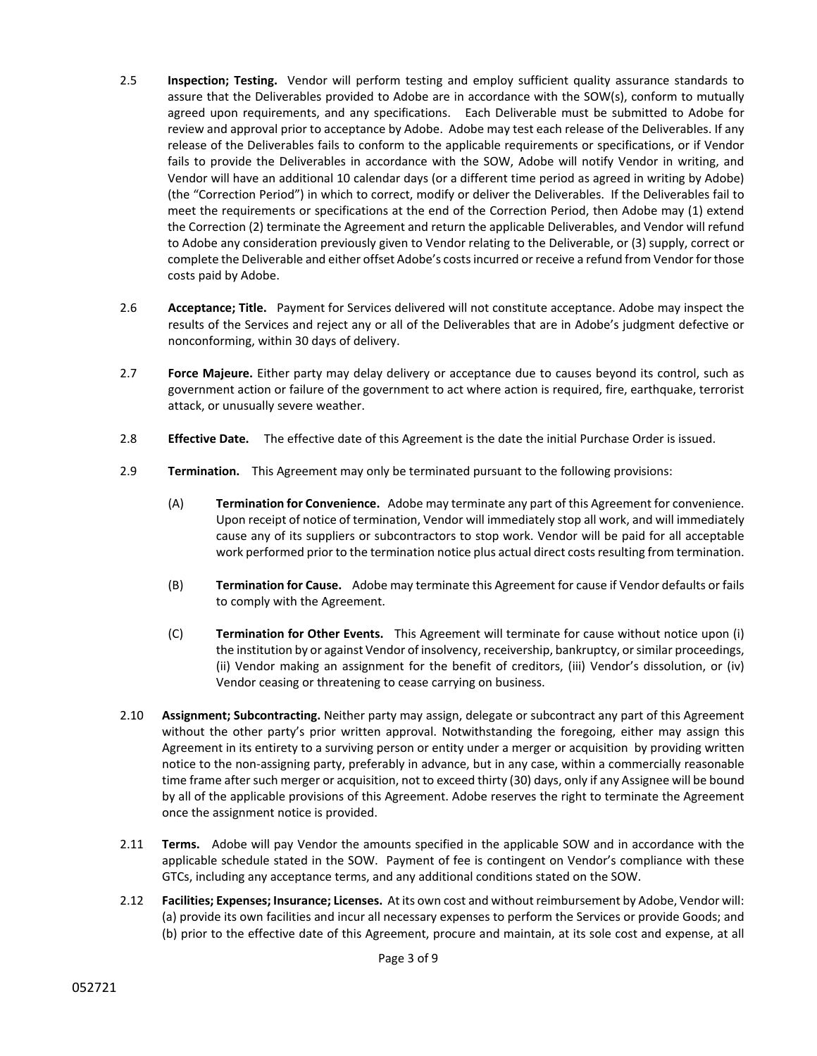- 2.5 **Inspection; Testing.** Vendor will perform testing and employ sufficient quality assurance standards to assure that the Deliverables provided to Adobe are in accordance with the SOW(s), conform to mutually agreed upon requirements, and any specifications. Each Deliverable must be submitted to Adobe for review and approval prior to acceptance by Adobe. Adobe may test each release of the Deliverables. If any release of the Deliverables fails to conform to the applicable requirements or specifications, or if Vendor fails to provide the Deliverables in accordance with the SOW, Adobe will notify Vendor in writing, and Vendor will have an additional 10 calendar days (or a different time period as agreed in writing by Adobe) (the "Correction Period") in which to correct, modify or deliver the Deliverables. If the Deliverables fail to meet the requirements or specifications at the end of the Correction Period, then Adobe may (1) extend the Correction (2) terminate the Agreement and return the applicable Deliverables, and Vendor will refund to Adobe any consideration previously given to Vendor relating to the Deliverable, or (3) supply, correct or complete the Deliverable and either offset Adobe's costs incurred or receive a refund from Vendor for those costs paid by Adobe.
- 2.6 **Acceptance; Title.** Payment for Services delivered will not constitute acceptance. Adobe may inspect the results of the Services and reject any or all of the Deliverables that are in Adobe's judgment defective or nonconforming, within 30 days of delivery.
- 2.7 **Force Majeure.** Either party may delay delivery or acceptance due to causes beyond its control, such as government action or failure of the government to act where action is required, fire, earthquake, terrorist attack, or unusually severe weather.
- 2.8 **Effective Date.** The effective date of this Agreement is the date the initial Purchase Order is issued.
- 2.9 **Termination.** This Agreement may only be terminated pursuant to the following provisions:
	- (A) **Termination for Convenience.** Adobe may terminate any part of this Agreement for convenience. Upon receipt of notice of termination, Vendor will immediately stop all work, and will immediately cause any of its suppliers or subcontractors to stop work. Vendor will be paid for all acceptable work performed prior to the termination notice plus actual direct costs resulting from termination.
	- (B) **Termination for Cause.** Adobe may terminate this Agreement for cause if Vendor defaults or fails to comply with the Agreement.
	- (C) **Termination for Other Events.** This Agreement will terminate for cause without notice upon (i) the institution by or against Vendor of insolvency, receivership, bankruptcy, or similar proceedings, (ii) Vendor making an assignment for the benefit of creditors, (iii) Vendor's dissolution, or (iv) Vendor ceasing or threatening to cease carrying on business.
- 2.10 **Assignment; Subcontracting.** Neither party may assign, delegate or subcontract any part of this Agreement without the other party's prior written approval. Notwithstanding the foregoing, either may assign this Agreement in its entirety to a surviving person or entity under a merger or acquisition by providing written notice to the non-assigning party, preferably in advance, but in any case, within a commercially reasonable time frame after such merger or acquisition, not to exceed thirty (30) days, only if any Assignee will be bound by all of the applicable provisions of this Agreement. Adobe reserves the right to terminate the Agreement once the assignment notice is provided.
- 2.11 **Terms.** Adobe will pay Vendor the amounts specified in the applicable SOW and in accordance with the applicable schedule stated in the SOW. Payment of fee is contingent on Vendor's compliance with these GTCs, including any acceptance terms, and any additional conditions stated on the SOW.
- 2.12 **Facilities; Expenses; Insurance; Licenses.** At its own cost and without reimbursement by Adobe, Vendor will: (a) provide its own facilities and incur all necessary expenses to perform the Services or provide Goods; and (b) prior to the effective date of this Agreement, procure and maintain, at its sole cost and expense, at all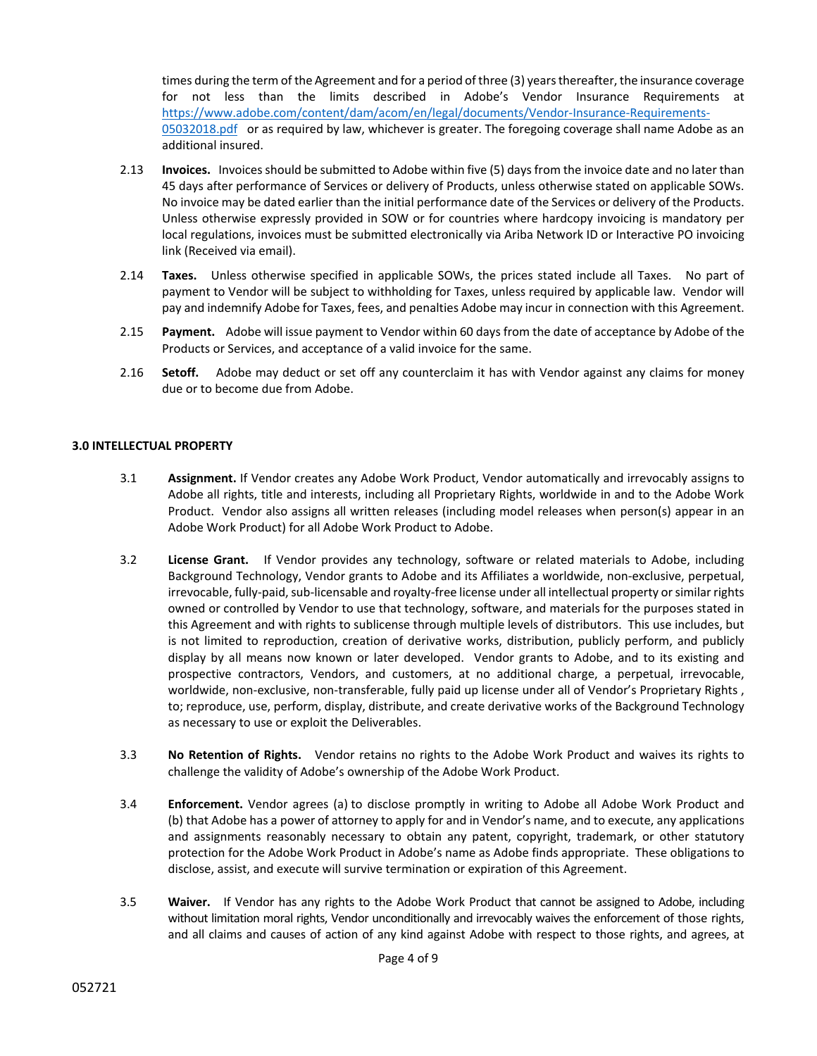times during the term of the Agreement and for a period of three (3) years thereafter, the insurance coverage for not less than the limits described in Adobe's Vendor Insurance Requirements at [https://www.adobe.com/content/dam/acom/en/legal/documents/Vendor-Insurance-Requirements-](https://www.adobe.com/content/dam/acom/en/legal/documents/Vendor-Insurance-Requirements-05032018.pdf)[05032018.pdf](https://www.adobe.com/content/dam/acom/en/legal/documents/Vendor-Insurance-Requirements-05032018.pdf) or as required by law, whichever is greater. The foregoing coverage shall name Adobe as an additional insured.

- 2.13 **Invoices.** Invoices should be submitted to Adobe within five (5) days from the invoice date and no later than 45 days after performance of Services or delivery of Products, unless otherwise stated on applicable SOWs. No invoice may be dated earlier than the initial performance date of the Services or delivery of the Products. Unless otherwise expressly provided in SOW or for countries where hardcopy invoicing is mandatory per local regulations, invoices must be submitted electronically via Ariba Network ID or Interactive PO invoicing link (Received via email).
- 2.14 **Taxes.** Unless otherwise specified in applicable SOWs, the prices stated include all Taxes. No part of payment to Vendor will be subject to withholding for Taxes, unless required by applicable law. Vendor will pay and indemnify Adobe for Taxes, fees, and penalties Adobe may incur in connection with this Agreement.
- 2.15 **Payment.** Adobe will issue payment to Vendor within 60 days from the date of acceptance by Adobe of the Products or Services, and acceptance of a valid invoice for the same.
- 2.16 **Setoff.** Adobe may deduct or set off any counterclaim it has with Vendor against any claims for money due or to become due from Adobe.

## **3.0 INTELLECTUAL PROPERTY**

- 3.1 **Assignment.** If Vendor creates any Adobe Work Product, Vendor automatically and irrevocably assigns to Adobe all rights, title and interests, including all Proprietary Rights, worldwide in and to the Adobe Work Product. Vendor also assigns all written releases (including model releases when person(s) appear in an Adobe Work Product) for all Adobe Work Product to Adobe.
- 3.2 **License Grant.** If Vendor provides any technology, software or related materials to Adobe, including Background Technology, Vendor grants to Adobe and its Affiliates a worldwide, non-exclusive, perpetual, irrevocable, fully-paid, sub-licensable and royalty-free license under all intellectual property or similar rights owned or controlled by Vendor to use that technology, software, and materials for the purposes stated in this Agreement and with rights to sublicense through multiple levels of distributors. This use includes, but is not limited to reproduction, creation of derivative works, distribution, publicly perform, and publicly display by all means now known or later developed. Vendor grants to Adobe, and to its existing and prospective contractors, Vendors, and customers, at no additional charge, a perpetual, irrevocable, worldwide, non-exclusive, non-transferable, fully paid up license under all of Vendor's Proprietary Rights , to; reproduce, use, perform, display, distribute, and create derivative works of the Background Technology as necessary to use or exploit the Deliverables.
- 3.3 **No Retention of Rights.** Vendor retains no rights to the Adobe Work Product and waives its rights to challenge the validity of Adobe's ownership of the Adobe Work Product.
- 3.4 **Enforcement.** Vendor agrees (a) to disclose promptly in writing to Adobe all Adobe Work Product and (b) that Adobe has a power of attorney to apply for and in Vendor's name, and to execute, any applications and assignments reasonably necessary to obtain any patent, copyright, trademark, or other statutory protection for the Adobe Work Product in Adobe's name as Adobe finds appropriate. These obligations to disclose, assist, and execute will survive termination or expiration of this Agreement.
- 3.5 **Waiver.** If Vendor has any rights to the Adobe Work Product that cannot be assigned to Adobe, including without limitation moral rights, Vendor unconditionally and irrevocably waives the enforcement of those rights, and all claims and causes of action of any kind against Adobe with respect to those rights, and agrees, at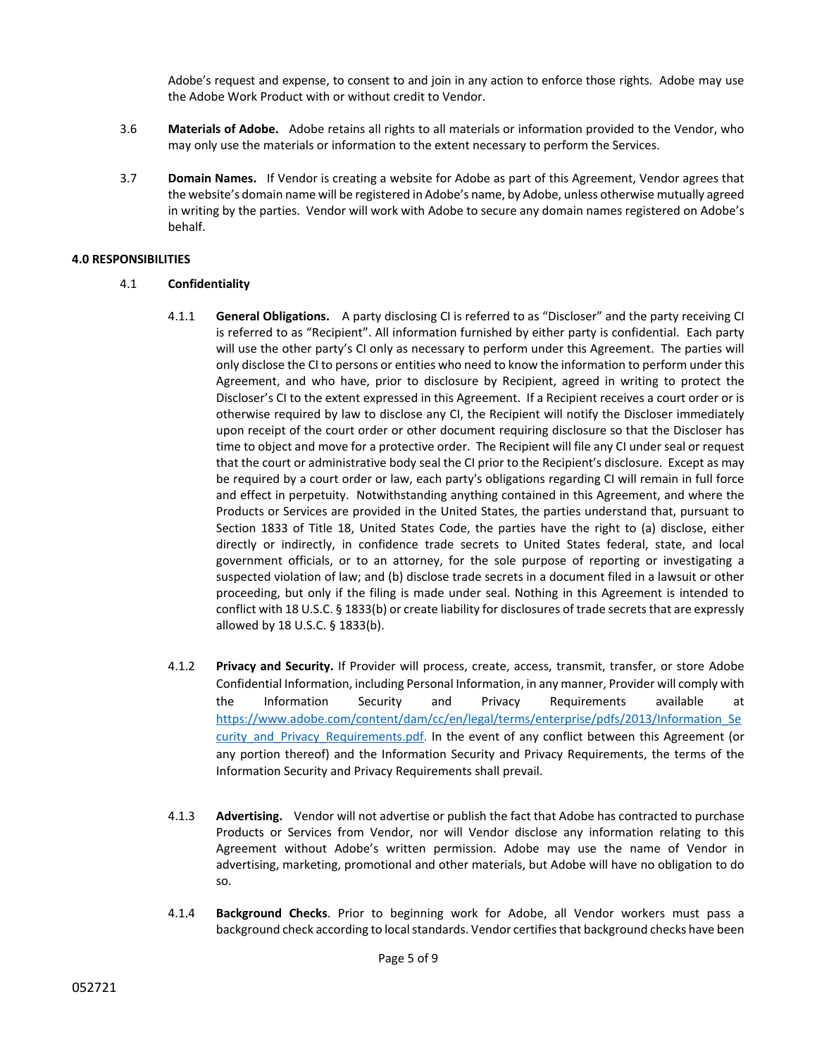Adobe's request and expense, to consent to and join in any action to enforce those rights. Adobe may use the Adobe Work Product with or without credit to Vendor.

- 3.6 **Materials of Adobe.** Adobe retains all rights to all materials or information provided to the Vendor, who may only use the materials or information to the extent necessary to perform the Services.
- 3.7 **Domain Names.** If Vendor is creating a website for Adobe as part of this Agreement, Vendor agrees that the website's domain name will be registered in Adobe's name, by Adobe, unless otherwise mutually agreed in writing by the parties. Vendor will work with Adobe to secure any domain names registered on Adobe's behalf.

### **4.0 RESPONSIBILITIES**

- 4.1 **Confidentiality**
	- 4.1.1 **General Obligations.** A party disclosing CI is referred to as "Discloser" and the party receiving CI is referred to as "Recipient". All information furnished by either party is confidential. Each party will use the other party's CI only as necessary to perform under this Agreement. The parties will only disclose the CI to persons or entities who need to know the information to perform under this Agreement, and who have, prior to disclosure by Recipient, agreed in writing to protect the Discloser's CI to the extent expressed in this Agreement. If a Recipient receives a court order or is otherwise required by law to disclose any CI, the Recipient will notify the Discloser immediately upon receipt of the court order or other document requiring disclosure so that the Discloser has time to object and move for a protective order. The Recipient will file any CI under seal or request that the court or administrative body seal the CI prior to the Recipient's disclosure. Except as may be required by a court order or law, each party's obligations regarding CI will remain in full force and effect in perpetuity. Notwithstanding anything contained in this Agreement, and where the Products or Services are provided in the United States, the parties understand that, pursuant to Section 1833 of Title 18, United States Code, the parties have the right to (a) disclose, either directly or indirectly, in confidence trade secrets to United States federal, state, and local government officials, or to an attorney, for the sole purpose of reporting or investigating a suspected violation of law; and (b) disclose trade secrets in a document filed in a lawsuit or other proceeding, but only if the filing is made under seal. Nothing in this Agreement is intended to conflict with 18 U.S.C. § 1833(b) or create liability for disclosures of trade secrets that are expressly allowed by 18 U.S.C. § 1833(b).
	- 4.1.2 **Privacy and Security.** If Provider will process, create, access, transmit, transfer, or store Adobe Confidential Information, including Personal Information, in any manner, Provider will comply with the Information Security and Privacy Requirements available at [https://www.adobe.com/content/dam/cc/en/legal/terms/enterprise/pdfs/2013/Information\\_Se](https://www.adobe.com/content/dam/cc/en/legal/terms/enterprise/pdfs/2013/Information_Security_and_Privacy_Requirements.pdf) curity and Privacy Requirements.pdf. In the event of any conflict between this Agreement (or any portion thereof) and the Information Security and Privacy Requirements, the terms of the Information Security and Privacy Requirements shall prevail.
	- 4.1.3 **Advertising.** Vendor will not advertise or publish the fact that Adobe has contracted to purchase Products or Services from Vendor, nor will Vendor disclose any information relating to this Agreement without Adobe's written permission. Adobe may use the name of Vendor in advertising, marketing, promotional and other materials, but Adobe will have no obligation to do so.
	- 4.1.4 **Background Checks**. Prior to beginning work for Adobe, all Vendor workers must pass a background check according to local standards. Vendor certifies that background checks have been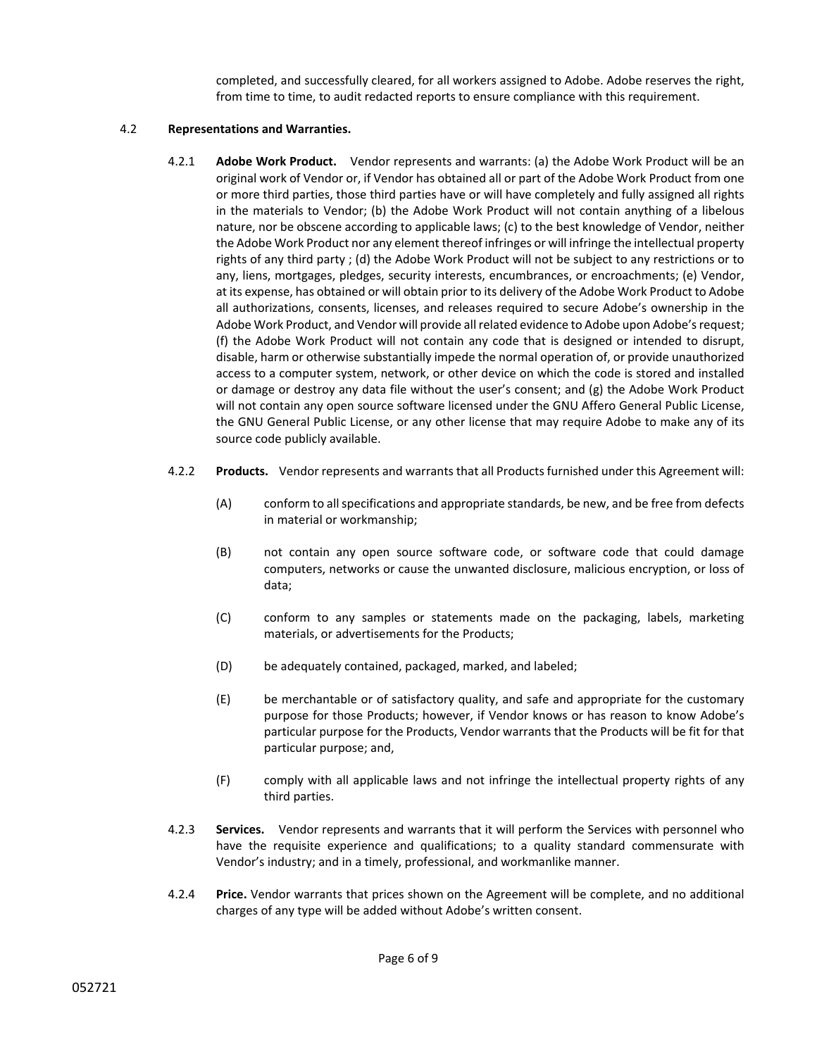completed, and successfully cleared, for all workers assigned to Adobe. Adobe reserves the right, from time to time, to audit redacted reports to ensure compliance with this requirement.

## 4.2 **Representations and Warranties.**

- 4.2.1 **Adobe Work Product.** Vendor represents and warrants: (a) the Adobe Work Product will be an original work of Vendor or, if Vendor has obtained all or part of the Adobe Work Product from one or more third parties, those third parties have or will have completely and fully assigned all rights in the materials to Vendor; (b) the Adobe Work Product will not contain anything of a libelous nature, nor be obscene according to applicable laws; (c) to the best knowledge of Vendor, neither the Adobe Work Product nor any element thereof infringes or will infringe the intellectual property rights of any third party ; (d) the Adobe Work Product will not be subject to any restrictions or to any, liens, mortgages, pledges, security interests, encumbrances, or encroachments; (e) Vendor, at its expense, has obtained or will obtain prior to its delivery of the Adobe Work Product to Adobe all authorizations, consents, licenses, and releases required to secure Adobe's ownership in the Adobe Work Product, and Vendor will provide all related evidence to Adobe upon Adobe's request; (f) the Adobe Work Product will not contain any code that is designed or intended to disrupt, disable, harm or otherwise substantially impede the normal operation of, or provide unauthorized access to a computer system, network, or other device on which the code is stored and installed or damage or destroy any data file without the user's consent; and (g) the Adobe Work Product will not contain any open source software licensed under the GNU Affero General Public License, the GNU General Public License, or any other license that may require Adobe to make any of its source code publicly available.
- 4.2.2 **Products.** Vendor represents and warrants that all Products furnished under this Agreement will:
	- (A) conform to all specifications and appropriate standards, be new, and be free from defects in material or workmanship;
	- (B) not contain any open source software code, or software code that could damage computers, networks or cause the unwanted disclosure, malicious encryption, or loss of data;
	- (C) conform to any samples or statements made on the packaging, labels, marketing materials, or advertisements for the Products;
	- (D) be adequately contained, packaged, marked, and labeled;
	- (E) be merchantable or of satisfactory quality, and safe and appropriate for the customary purpose for those Products; however, if Vendor knows or has reason to know Adobe's particular purpose for the Products, Vendor warrants that the Products will be fit for that particular purpose; and,
	- (F) comply with all applicable laws and not infringe the intellectual property rights of any third parties.
- 4.2.3 **Services.** Vendor represents and warrants that it will perform the Services with personnel who have the requisite experience and qualifications; to a quality standard commensurate with Vendor's industry; and in a timely, professional, and workmanlike manner.
- 4.2.4 **Price.** Vendor warrants that prices shown on the Agreement will be complete, and no additional charges of any type will be added without Adobe's written consent.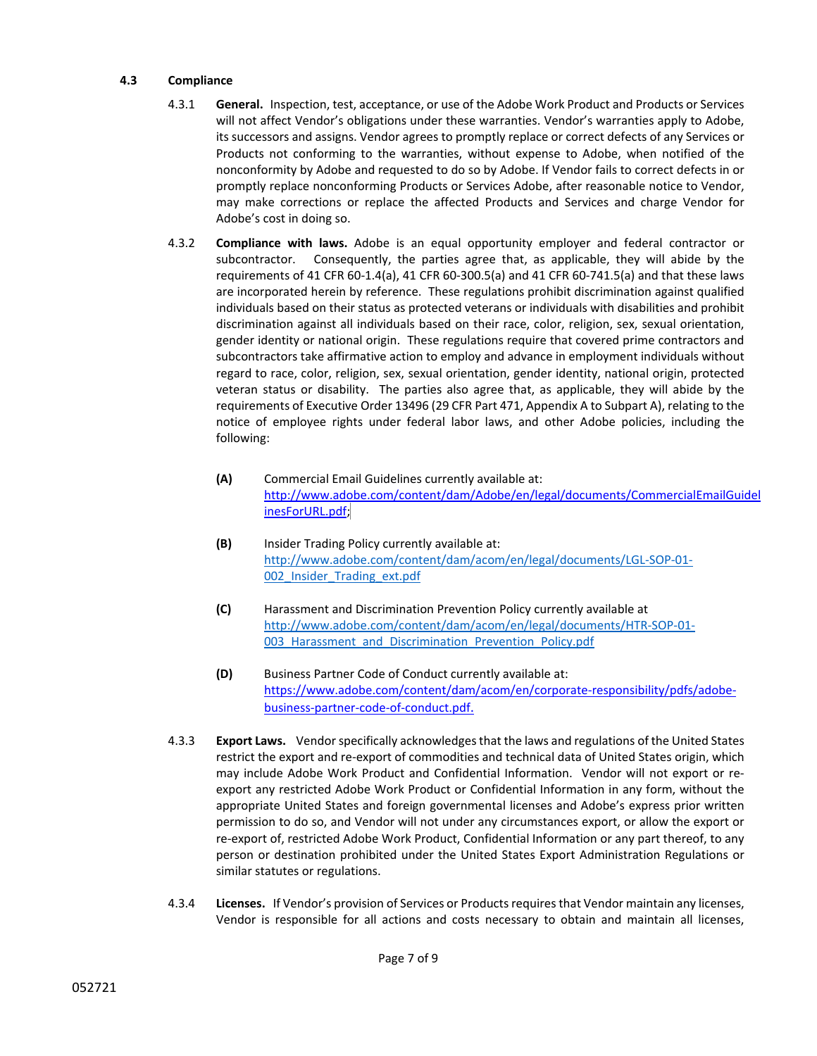## **4.3 Compliance**

- 4.3.1 **General.** Inspection, test, acceptance, or use of the Adobe Work Product and Products or Services will not affect Vendor's obligations under these warranties. Vendor's warranties apply to Adobe, its successors and assigns. Vendor agrees to promptly replace or correct defects of any Services or Products not conforming to the warranties, without expense to Adobe, when notified of the nonconformity by Adobe and requested to do so by Adobe. If Vendor fails to correct defects in or promptly replace nonconforming Products or Services Adobe, after reasonable notice to Vendor, may make corrections or replace the affected Products and Services and charge Vendor for Adobe's cost in doing so.
- 4.3.2 **Compliance with laws.** Adobe is an equal opportunity employer and federal contractor or subcontractor. Consequently, the parties agree that, as applicable, they will abide by the requirements of 41 CFR 60-1.4(a), 41 CFR 60-300.5(a) and 41 CFR 60-741.5(a) and that these laws are incorporated herein by reference. These regulations prohibit discrimination against qualified individuals based on their status as protected veterans or individuals with disabilities and prohibit discrimination against all individuals based on their race, color, religion, sex, sexual orientation, gender identity or national origin. These regulations require that covered prime contractors and subcontractors take affirmative action to employ and advance in employment individuals without regard to race, color, religion, sex, sexual orientation, gender identity, national origin, protected veteran status or disability. The parties also agree that, as applicable, they will abide by the requirements of Executive Order 13496 (29 CFR Part 471, Appendix A to Subpart A), relating to the notice of employee rights under federal labor laws, and other Adobe policies, including the following:
	- **(A)** Commercial Email Guidelines currently available at: [http://www.adobe.com/content/dam/Adobe/en/legal/documents/CommercialEmailGuidel](http://www.adobe.com/content/dam/Adobe/en/legal/documents/CommercialEmailGuidelinesForURL.pdf) [inesForURL.pdf;](http://www.adobe.com/content/dam/Adobe/en/legal/documents/CommercialEmailGuidelinesForURL.pdf)
	- **(B)** Insider Trading Policy currently available at: [http://www.adobe.com/content/dam/acom/en/legal/documents/LGL-SOP-01-](http://www.adobe.com/content/dam/acom/en/legal/documents/LGL-SOP-01-002_Insider_Trading_ext.pdf) [002\\_Insider\\_Trading\\_ext.pdf](http://www.adobe.com/content/dam/acom/en/legal/documents/LGL-SOP-01-002_Insider_Trading_ext.pdf)
	- **(C)** Harassment and Discrimination Prevention Policy currently available at [http://www.adobe.com/content/dam/acom/en/legal/documents/HTR-SOP-01-](http://www.adobe.com/content/dam/acom/en/legal/documents/HTR-SOP-01-003_Harassment_and_Discrimination_Prevention_Policy.pdf) 003 Harassment and Discrimination Prevention Policy.pdf
	- **(D)** Business Partner Code of Conduct currently available at: [https://www.adobe.com/content/dam/acom/en/corporate-responsibility/pdfs/adobe](https://www.adobe.com/content/dam/acom/en/corporate-responsibility/pdfs/adobe-business-partner-code-of-conduct.pdf)[business-partner-code-of-conduct.pdf.](https://www.adobe.com/content/dam/acom/en/corporate-responsibility/pdfs/adobe-business-partner-code-of-conduct.pdf)
- 4.3.3 **Export Laws.** Vendor specifically acknowledges that the laws and regulations of the United States restrict the export and re-export of commodities and technical data of United States origin, which may include Adobe Work Product and Confidential Information. Vendor will not export or reexport any restricted Adobe Work Product or Confidential Information in any form, without the appropriate United States and foreign governmental licenses and Adobe's express prior written permission to do so, and Vendor will not under any circumstances export, or allow the export or re-export of, restricted Adobe Work Product, Confidential Information or any part thereof, to any person or destination prohibited under the United States Export Administration Regulations or similar statutes or regulations.
- 4.3.4 **Licenses.** If Vendor's provision of Services or Products requires that Vendor maintain any licenses, Vendor is responsible for all actions and costs necessary to obtain and maintain all licenses,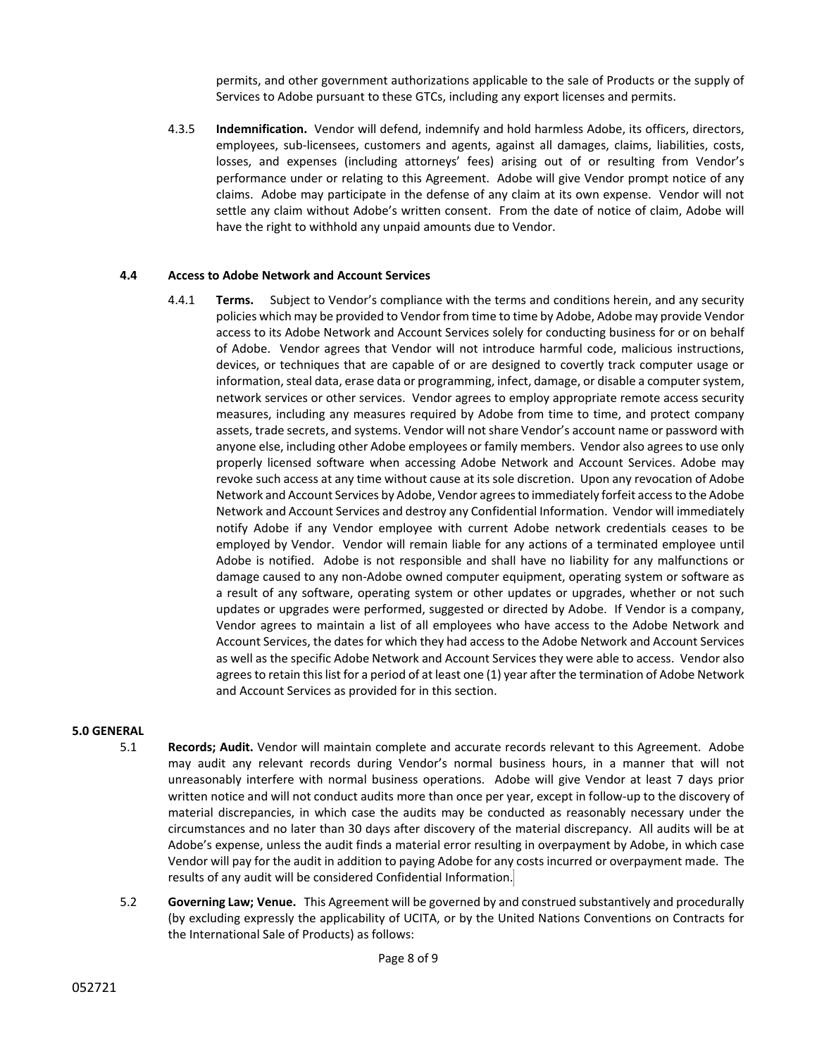permits, and other government authorizations applicable to the sale of Products or the supply of Services to Adobe pursuant to these GTCs, including any export licenses and permits.

4.3.5 **Indemnification.** Vendor will defend, indemnify and hold harmless Adobe, its officers, directors, employees, sub-licensees, customers and agents, against all damages, claims, liabilities, costs, losses, and expenses (including attorneys' fees) arising out of or resulting from Vendor's performance under or relating to this Agreement. Adobe will give Vendor prompt notice of any claims. Adobe may participate in the defense of any claim at its own expense. Vendor will not settle any claim without Adobe's written consent. From the date of notice of claim, Adobe will have the right to withhold any unpaid amounts due to Vendor.

### **4.4 Access to Adobe Network and Account Services**

4.4.1 **Terms.** Subject to Vendor's compliance with the terms and conditions herein, and any security policies which may be provided to Vendor from time to time by Adobe, Adobe may provide Vendor access to its Adobe Network and Account Services solely for conducting business for or on behalf of Adobe. Vendor agrees that Vendor will not introduce harmful code, malicious instructions, devices, or techniques that are capable of or are designed to covertly track computer usage or information, steal data, erase data or programming, infect, damage, or disable a computer system, network services or other services. Vendor agrees to employ appropriate remote access security measures, including any measures required by Adobe from time to time, and protect company assets, trade secrets, and systems. Vendor will not share Vendor's account name or password with anyone else, including other Adobe employees or family members. Vendor also agrees to use only properly licensed software when accessing Adobe Network and Account Services. Adobe may revoke such access at any time without cause at its sole discretion. Upon any revocation of Adobe Network and Account Services by Adobe, Vendor agrees to immediately forfeit access to the Adobe Network and Account Services and destroy any Confidential Information. Vendor will immediately notify Adobe if any Vendor employee with current Adobe network credentials ceases to be employed by Vendor. Vendor will remain liable for any actions of a terminated employee until Adobe is notified. Adobe is not responsible and shall have no liability for any malfunctions or damage caused to any non-Adobe owned computer equipment, operating system or software as a result of any software, operating system or other updates or upgrades, whether or not such updates or upgrades were performed, suggested or directed by Adobe. If Vendor is a company, Vendor agrees to maintain a list of all employees who have access to the Adobe Network and Account Services, the dates for which they had access to the Adobe Network and Account Services as well as the specific Adobe Network and Account Services they were able to access. Vendor also agrees to retain this list for a period of at least one (1) year after the termination of Adobe Network and Account Services as provided for in this section.

#### **5.0 GENERAL**

- 5.1 **Records; Audit.** Vendor will maintain complete and accurate records relevant to this Agreement. Adobe may audit any relevant records during Vendor's normal business hours, in a manner that will not unreasonably interfere with normal business operations. Adobe will give Vendor at least 7 days prior written notice and will not conduct audits more than once per year, except in follow-up to the discovery of material discrepancies, in which case the audits may be conducted as reasonably necessary under the circumstances and no later than 30 days after discovery of the material discrepancy. All audits will be at Adobe's expense, unless the audit finds a material error resulting in overpayment by Adobe, in which case Vendor will pay for the audit in addition to paying Adobe for any costs incurred or overpayment made. The results of any audit will be considered Confidential Information.
- 5.2 **Governing Law; Venue.** This Agreement will be governed by and construed substantively and procedurally (by excluding expressly the applicability of UCITA, or by the United Nations Conventions on Contracts for the International Sale of Products) as follows: